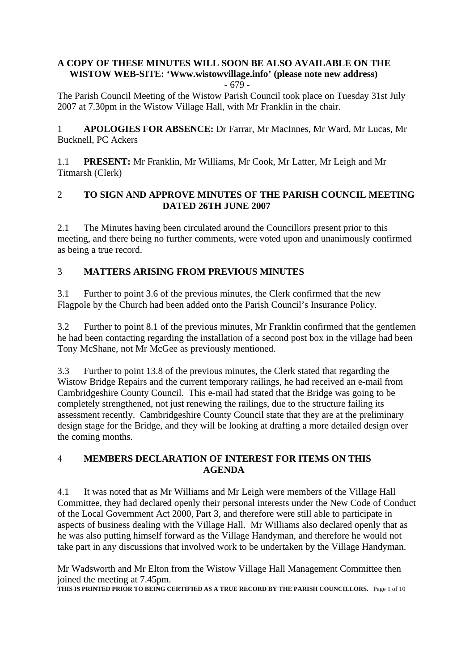# **A COPY OF THESE MINUTES WILL SOON BE ALSO AVAILABLE ON THE WISTOW WEB-SITE: 'Www.wistowvillage.info' (please note new address)**

- 679 -

The Parish Council Meeting of the Wistow Parish Council took place on Tuesday 31st July 2007 at 7.30pm in the Wistow Village Hall, with Mr Franklin in the chair.

1 **APOLOGIES FOR ABSENCE:** Dr Farrar, Mr MacInnes, Mr Ward, Mr Lucas, Mr Bucknell, PC Ackers

1.1 **PRESENT:** Mr Franklin, Mr Williams, Mr Cook, Mr Latter, Mr Leigh and Mr Titmarsh (Clerk)

#### 2 **TO SIGN AND APPROVE MINUTES OF THE PARISH COUNCIL MEETING DATED 26TH JUNE 2007**

2.1 The Minutes having been circulated around the Councillors present prior to this meeting, and there being no further comments, were voted upon and unanimously confirmed as being a true record.

# 3 **MATTERS ARISING FROM PREVIOUS MINUTES**

3.1 Further to point 3.6 of the previous minutes, the Clerk confirmed that the new Flagpole by the Church had been added onto the Parish Council's Insurance Policy.

3.2 Further to point 8.1 of the previous minutes, Mr Franklin confirmed that the gentlemen he had been contacting regarding the installation of a second post box in the village had been Tony McShane, not Mr McGee as previously mentioned.

3.3 Further to point 13.8 of the previous minutes, the Clerk stated that regarding the Wistow Bridge Repairs and the current temporary railings, he had received an e-mail from Cambridgeshire County Council. This e-mail had stated that the Bridge was going to be completely strengthened, not just renewing the railings, due to the structure failing its assessment recently. Cambridgeshire County Council state that they are at the preliminary design stage for the Bridge, and they will be looking at drafting a more detailed design over the coming months.

#### 4 **MEMBERS DECLARATION OF INTEREST FOR ITEMS ON THIS AGENDA**

4.1 It was noted that as Mr Williams and Mr Leigh were members of the Village Hall Committee, they had declared openly their personal interests under the New Code of Conduct of the Local Government Act 2000, Part 3, and therefore were still able to participate in aspects of business dealing with the Village Hall. Mr Williams also declared openly that as he was also putting himself forward as the Village Handyman, and therefore he would not take part in any discussions that involved work to be undertaken by the Village Handyman.

Mr Wadsworth and Mr Elton from the Wistow Village Hall Management Committee then joined the meeting at 7.45pm.

**THIS IS PRINTED PRIOR TO BEING CERTIFIED AS A TRUE RECORD BY THE PARISH COUNCILLORS.** Page 1 of 10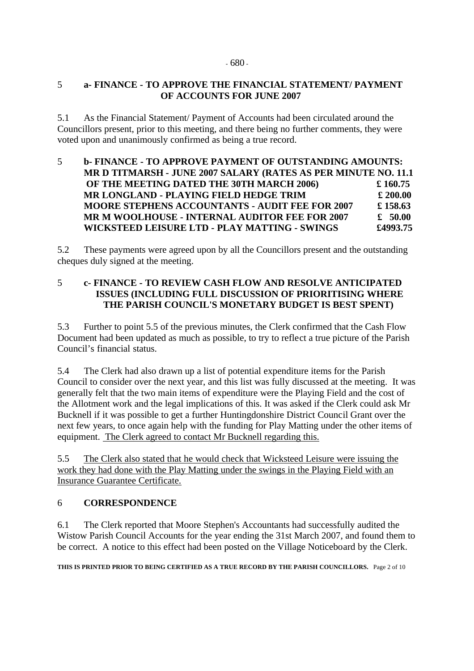## 5 **a- FINANCE - TO APPROVE THE FINANCIAL STATEMENT/ PAYMENT OF ACCOUNTS FOR JUNE 2007**

5.1 As the Financial Statement/ Payment of Accounts had been circulated around the Councillors present, prior to this meeting, and there being no further comments, they were voted upon and unanimously confirmed as being a true record.

### 5 **b- FINANCE - TO APPROVE PAYMENT OF OUTSTANDING AMOUNTS: MR D TITMARSH - JUNE 2007 SALARY (RATES AS PER MINUTE NO. 11.1 OF THE MEETING DATED THE 30TH MARCH 2006) £ 160.75 MR LONGLAND - PLAYING FIELD HEDGE TRIM £ 200.00 MOORE STEPHENS ACCOUNTANTS - AUDIT FEE FOR 2007 £ 158.63 MR M WOOLHOUSE - INTERNAL AUDITOR FEE FOR 2007 £ 50.00 WICKSTEED LEISURE LTD - PLAY MATTING - SWINGS £4993.75**

5.2 These payments were agreed upon by all the Councillors present and the outstanding cheques duly signed at the meeting.

# 5 **c- FINANCE - TO REVIEW CASH FLOW AND RESOLVE ANTICIPATED ISSUES (INCLUDING FULL DISCUSSION OF PRIORITISING WHERE THE PARISH COUNCIL'S MONETARY BUDGET IS BEST SPENT)**

5.3 Further to point 5.5 of the previous minutes, the Clerk confirmed that the Cash Flow Document had been updated as much as possible, to try to reflect a true picture of the Parish Council's financial status.

5.4 The Clerk had also drawn up a list of potential expenditure items for the Parish Council to consider over the next year, and this list was fully discussed at the meeting. It was generally felt that the two main items of expenditure were the Playing Field and the cost of the Allotment work and the legal implications of this. It was asked if the Clerk could ask Mr Bucknell if it was possible to get a further Huntingdonshire District Council Grant over the next few years, to once again help with the funding for Play Matting under the other items of equipment. The Clerk agreed to contact Mr Bucknell regarding this.

5.5 The Clerk also stated that he would check that Wicksteed Leisure were issuing the work they had done with the Play Matting under the swings in the Playing Field with an Insurance Guarantee Certificate.

# 6 **CORRESPONDENCE**

6.1 The Clerk reported that Moore Stephen's Accountants had successfully audited the Wistow Parish Council Accounts for the year ending the 31st March 2007, and found them to be correct. A notice to this effect had been posted on the Village Noticeboard by the Clerk.

**THIS IS PRINTED PRIOR TO BEING CERTIFIED AS A TRUE RECORD BY THE PARISH COUNCILLORS.** Page 2 of 10

#### - 680 -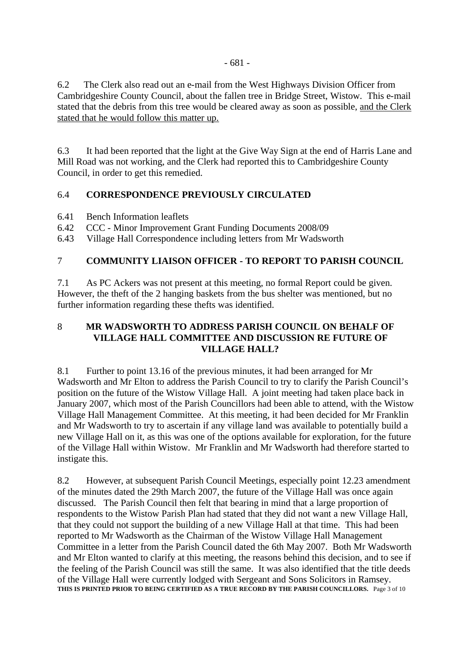6.2 The Clerk also read out an e-mail from the West Highways Division Officer from Cambridgeshire County Council, about the fallen tree in Bridge Street, Wistow. This e-mail stated that the debris from this tree would be cleared away as soon as possible, and the Clerk stated that he would follow this matter up.

6.3 It had been reported that the light at the Give Way Sign at the end of Harris Lane and Mill Road was not working, and the Clerk had reported this to Cambridgeshire County Council, in order to get this remedied.

# 6.4 **CORRESPONDENCE PREVIOUSLY CIRCULATED**

- 6.41 Bench Information leaflets
- 6.42 CCC Minor Improvement Grant Funding Documents 2008/09
- 6.43 Village Hall Correspondence including letters from Mr Wadsworth

# 7 **COMMUNITY LIAISON OFFICER - TO REPORT TO PARISH COUNCIL**

7.1 As PC Ackers was not present at this meeting, no formal Report could be given. However, the theft of the 2 hanging baskets from the bus shelter was mentioned, but no further information regarding these thefts was identified.

## 8 **MR WADSWORTH TO ADDRESS PARISH COUNCIL ON BEHALF OF VILLAGE HALL COMMITTEE AND DISCUSSION RE FUTURE OF VILLAGE HALL?**

8.1 Further to point 13.16 of the previous minutes, it had been arranged for Mr Wadsworth and Mr Elton to address the Parish Council to try to clarify the Parish Council's position on the future of the Wistow Village Hall. A joint meeting had taken place back in January 2007, which most of the Parish Councillors had been able to attend, with the Wistow Village Hall Management Committee. At this meeting, it had been decided for Mr Franklin and Mr Wadsworth to try to ascertain if any village land was available to potentially build a new Village Hall on it, as this was one of the options available for exploration, for the future of the Village Hall within Wistow. Mr Franklin and Mr Wadsworth had therefore started to instigate this.

8.2 However, at subsequent Parish Council Meetings, especially point 12.23 amendment of the minutes dated the 29th March 2007, the future of the Village Hall was once again discussed. The Parish Council then felt that bearing in mind that a large proportion of respondents to the Wistow Parish Plan had stated that they did not want a new Village Hall, that they could not support the building of a new Village Hall at that time. This had been reported to Mr Wadsworth as the Chairman of the Wistow Village Hall Management Committee in a letter from the Parish Council dated the 6th May 2007. Both Mr Wadsworth and Mr Elton wanted to clarify at this meeting, the reasons behind this decision, and to see if the feeling of the Parish Council was still the same. It was also identified that the title deeds of the Village Hall were currently lodged with Sergeant and Sons Solicitors in Ramsey. **THIS IS PRINTED PRIOR TO BEING CERTIFIED AS A TRUE RECORD BY THE PARISH COUNCILLORS.** Page 3 of 10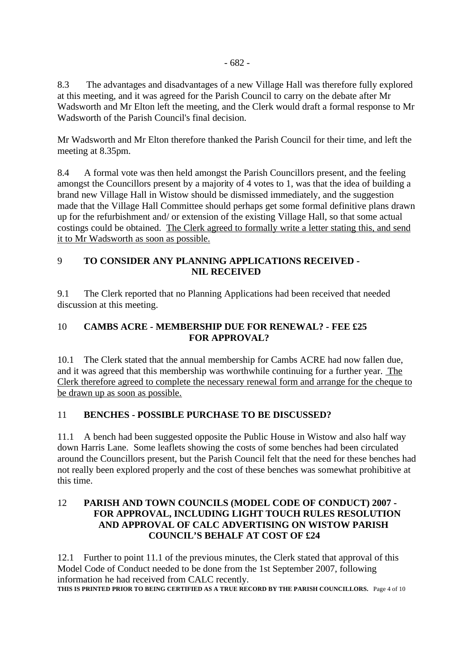8.3 The advantages and disadvantages of a new Village Hall was therefore fully explored at this meeting, and it was agreed for the Parish Council to carry on the debate after Mr Wadsworth and Mr Elton left the meeting, and the Clerk would draft a formal response to Mr Wadsworth of the Parish Council's final decision.

Mr Wadsworth and Mr Elton therefore thanked the Parish Council for their time, and left the meeting at 8.35pm.

8.4 A formal vote was then held amongst the Parish Councillors present, and the feeling amongst the Councillors present by a majority of 4 votes to 1, was that the idea of building a brand new Village Hall in Wistow should be dismissed immediately, and the suggestion made that the Village Hall Committee should perhaps get some formal definitive plans drawn up for the refurbishment and/ or extension of the existing Village Hall, so that some actual costings could be obtained. The Clerk agreed to formally write a letter stating this, and send it to Mr Wadsworth as soon as possible.

## 9 **TO CONSIDER ANY PLANNING APPLICATIONS RECEIVED - NIL RECEIVED**

9.1 The Clerk reported that no Planning Applications had been received that needed discussion at this meeting.

## 10 **CAMBS ACRE - MEMBERSHIP DUE FOR RENEWAL? - FEE £25 FOR APPROVAL?**

10.1 The Clerk stated that the annual membership for Cambs ACRE had now fallen due, and it was agreed that this membership was worthwhile continuing for a further year. The Clerk therefore agreed to complete the necessary renewal form and arrange for the cheque to be drawn up as soon as possible.

# 11 **BENCHES - POSSIBLE PURCHASE TO BE DISCUSSED?**

11.1 A bench had been suggested opposite the Public House in Wistow and also half way down Harris Lane. Some leaflets showing the costs of some benches had been circulated around the Councillors present, but the Parish Council felt that the need for these benches had not really been explored properly and the cost of these benches was somewhat prohibitive at this time.

#### 12 **PARISH AND TOWN COUNCILS (MODEL CODE OF CONDUCT) 2007 - FOR APPROVAL, INCLUDING LIGHT TOUCH RULES RESOLUTION AND APPROVAL OF CALC ADVERTISING ON WISTOW PARISH COUNCIL'S BEHALF AT COST OF £24**

12.1 Further to point 11.1 of the previous minutes, the Clerk stated that approval of this Model Code of Conduct needed to be done from the 1st September 2007, following information he had received from CALC recently. **THIS IS PRINTED PRIOR TO BEING CERTIFIED AS A TRUE RECORD BY THE PARISH COUNCILLORS.** Page 4 of 10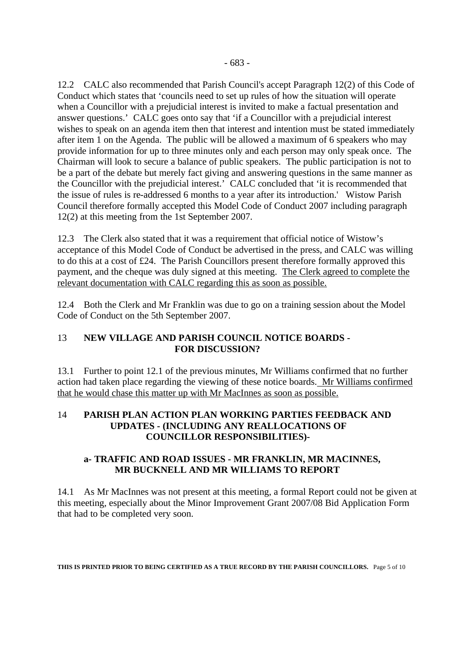12.2 CALC also recommended that Parish Council's accept Paragraph 12(2) of this Code of Conduct which states that 'councils need to set up rules of how the situation will operate when a Councillor with a prejudicial interest is invited to make a factual presentation and answer questions.' CALC goes onto say that 'if a Councillor with a prejudicial interest wishes to speak on an agenda item then that interest and intention must be stated immediately after item 1 on the Agenda. The public will be allowed a maximum of 6 speakers who may provide information for up to three minutes only and each person may only speak once. The Chairman will look to secure a balance of public speakers. The public participation is not to be a part of the debate but merely fact giving and answering questions in the same manner as the Councillor with the prejudicial interest.<sup>Y</sup> CALC concluded that 'it is recommended that the issue of rules is re-addressed 6 months to a year after its introduction.' Wistow Parish Council therefore formally accepted this Model Code of Conduct 2007 including paragraph 12(2) at this meeting from the 1st September 2007.

12.3 The Clerk also stated that it was a requirement that official notice of Wistow's acceptance of this Model Code of Conduct be advertised in the press, and CALC was willing to do this at a cost of £24. The Parish Councillors present therefore formally approved this payment, and the cheque was duly signed at this meeting. The Clerk agreed to complete the relevant documentation with CALC regarding this as soon as possible.

12.4 Both the Clerk and Mr Franklin was due to go on a training session about the Model Code of Conduct on the 5th September 2007.

#### 13 **NEW VILLAGE AND PARISH COUNCIL NOTICE BOARDS - FOR DISCUSSION?**

13.1 Further to point 12.1 of the previous minutes, Mr Williams confirmed that no further action had taken place regarding the viewing of these notice boards. Mr Williams confirmed that he would chase this matter up with Mr MacInnes as soon as possible.

#### 14 **PARISH PLAN ACTION PLAN WORKING PARTIES FEEDBACK AND UPDATES - (INCLUDING ANY REALLOCATIONS OF COUNCILLOR RESPONSIBILITIES)-**

# **a- TRAFFIC AND ROAD ISSUES - MR FRANKLIN, MR MACINNES, MR BUCKNELL AND MR WILLIAMS TO REPORT**

14.1 As Mr MacInnes was not present at this meeting, a formal Report could not be given at this meeting, especially about the Minor Improvement Grant 2007/08 Bid Application Form that had to be completed very soon.

**THIS IS PRINTED PRIOR TO BEING CERTIFIED AS A TRUE RECORD BY THE PARISH COUNCILLORS.** Page 5 of 10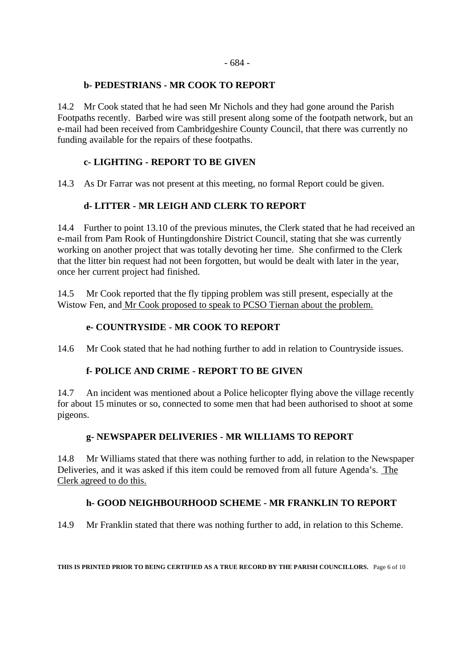#### **b- PEDESTRIANS - MR COOK TO REPORT**

14.2 Mr Cook stated that he had seen Mr Nichols and they had gone around the Parish Footpaths recently. Barbed wire was still present along some of the footpath network, but an e-mail had been received from Cambridgeshire County Council, that there was currently no funding available for the repairs of these footpaths.

# **c- LIGHTING - REPORT TO BE GIVEN**

14.3 As Dr Farrar was not present at this meeting, no formal Report could be given.

#### **d- LITTER - MR LEIGH AND CLERK TO REPORT**

14.4 Further to point 13.10 of the previous minutes, the Clerk stated that he had received an e-mail from Pam Rook of Huntingdonshire District Council, stating that she was currently working on another project that was totally devoting her time. She confirmed to the Clerk that the litter bin request had not been forgotten, but would be dealt with later in the year, once her current project had finished.

14.5 Mr Cook reported that the fly tipping problem was still present, especially at the Wistow Fen, and Mr Cook proposed to speak to PCSO Tiernan about the problem.

#### **e- COUNTRYSIDE - MR COOK TO REPORT**

14.6 Mr Cook stated that he had nothing further to add in relation to Countryside issues.

#### **f- POLICE AND CRIME - REPORT TO BE GIVEN**

14.7 An incident was mentioned about a Police helicopter flying above the village recently for about 15 minutes or so, connected to some men that had been authorised to shoot at some pigeons.

#### **g- NEWSPAPER DELIVERIES - MR WILLIAMS TO REPORT**

14.8 Mr Williams stated that there was nothing further to add, in relation to the Newspaper Deliveries, and it was asked if this item could be removed from all future Agenda's. The Clerk agreed to do this.

#### **h- GOOD NEIGHBOURHOOD SCHEME - MR FRANKLIN TO REPORT**

14.9 Mr Franklin stated that there was nothing further to add, in relation to this Scheme.

**THIS IS PRINTED PRIOR TO BEING CERTIFIED AS A TRUE RECORD BY THE PARISH COUNCILLORS.** Page 6 of 10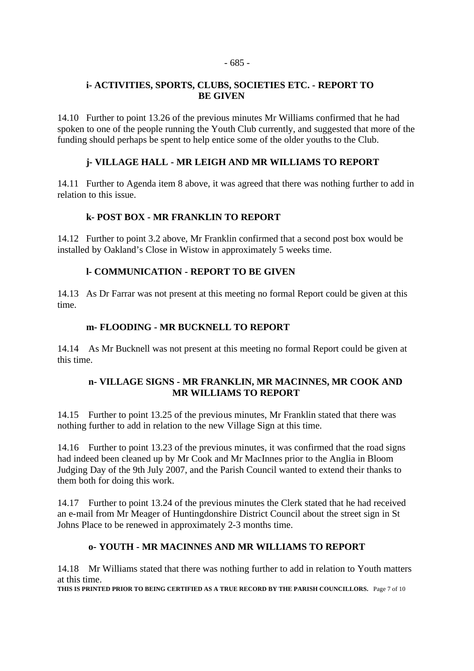#### - 685 -

#### **i- ACTIVITIES, SPORTS, CLUBS, SOCIETIES ETC. - REPORT TO BE GIVEN**

14.10 Further to point 13.26 of the previous minutes Mr Williams confirmed that he had spoken to one of the people running the Youth Club currently, and suggested that more of the funding should perhaps be spent to help entice some of the older youths to the Club.

## **j- VILLAGE HALL - MR LEIGH AND MR WILLIAMS TO REPORT**

14.11 Further to Agenda item 8 above, it was agreed that there was nothing further to add in relation to this issue.

#### **k- POST BOX - MR FRANKLIN TO REPORT**

14.12 Further to point 3.2 above, Mr Franklin confirmed that a second post box would be installed by Oakland's Close in Wistow in approximately 5 weeks time.

#### **l- COMMUNICATION - REPORT TO BE GIVEN**

14.13 As Dr Farrar was not present at this meeting no formal Report could be given at this time.

#### **m- FLOODING - MR BUCKNELL TO REPORT**

14.14 As Mr Bucknell was not present at this meeting no formal Report could be given at this time.

#### **n- VILLAGE SIGNS - MR FRANKLIN, MR MACINNES, MR COOK AND MR WILLIAMS TO REPORT**

14.15 Further to point 13.25 of the previous minutes, Mr Franklin stated that there was nothing further to add in relation to the new Village Sign at this time.

14.16 Further to point 13.23 of the previous minutes, it was confirmed that the road signs had indeed been cleaned up by Mr Cook and Mr MacInnes prior to the Anglia in Bloom Judging Day of the 9th July 2007, and the Parish Council wanted to extend their thanks to them both for doing this work.

14.17 Further to point 13.24 of the previous minutes the Clerk stated that he had received an e-mail from Mr Meager of Huntingdonshire District Council about the street sign in St Johns Place to be renewed in approximately 2-3 months time.

#### **o- YOUTH - MR MACINNES AND MR WILLIAMS TO REPORT**

14.18 Mr Williams stated that there was nothing further to add in relation to Youth matters at this time.

**THIS IS PRINTED PRIOR TO BEING CERTIFIED AS A TRUE RECORD BY THE PARISH COUNCILLORS.** Page 7 of 10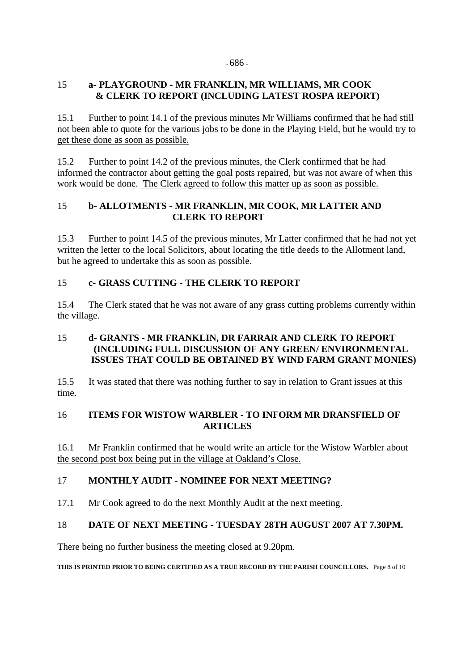#### - 686 -

#### 15 **a- PLAYGROUND - MR FRANKLIN, MR WILLIAMS, MR COOK & CLERK TO REPORT (INCLUDING LATEST ROSPA REPORT)**

15.1 Further to point 14.1 of the previous minutes Mr Williams confirmed that he had still not been able to quote for the various jobs to be done in the Playing Field, but he would try to get these done as soon as possible.

15.2 Further to point 14.2 of the previous minutes, the Clerk confirmed that he had informed the contractor about getting the goal posts repaired, but was not aware of when this work would be done. The Clerk agreed to follow this matter up as soon as possible.

# 15 **b- ALLOTMENTS - MR FRANKLIN, MR COOK, MR LATTER AND CLERK TO REPORT**

15.3 Further to point 14.5 of the previous minutes, Mr Latter confirmed that he had not yet written the letter to the local Solicitors, about locating the title deeds to the Allotment land, but he agreed to undertake this as soon as possible.

# 15 **c- GRASS CUTTING - THE CLERK TO REPORT**

15.4 The Clerk stated that he was not aware of any grass cutting problems currently within the village.

## 15 **d- GRANTS - MR FRANKLIN, DR FARRAR AND CLERK TO REPORT (INCLUDING FULL DISCUSSION OF ANY GREEN/ ENVIRONMENTAL ISSUES THAT COULD BE OBTAINED BY WIND FARM GRANT MONIES)**

15.5 It was stated that there was nothing further to say in relation to Grant issues at this time.

#### 16 **ITEMS FOR WISTOW WARBLER - TO INFORM MR DRANSFIELD OF ARTICLES**

16.1 Mr Franklin confirmed that he would write an article for the Wistow Warbler about the second post box being put in the village at Oakland's Close.

#### 17 **MONTHLY AUDIT - NOMINEE FOR NEXT MEETING?**

17.1 Mr Cook agreed to do the next Monthly Audit at the next meeting.

#### 18 **DATE OF NEXT MEETING - TUESDAY 28TH AUGUST 2007 AT 7.30PM.**

There being no further business the meeting closed at 9.20pm.

**THIS IS PRINTED PRIOR TO BEING CERTIFIED AS A TRUE RECORD BY THE PARISH COUNCILLORS.** Page 8 of 10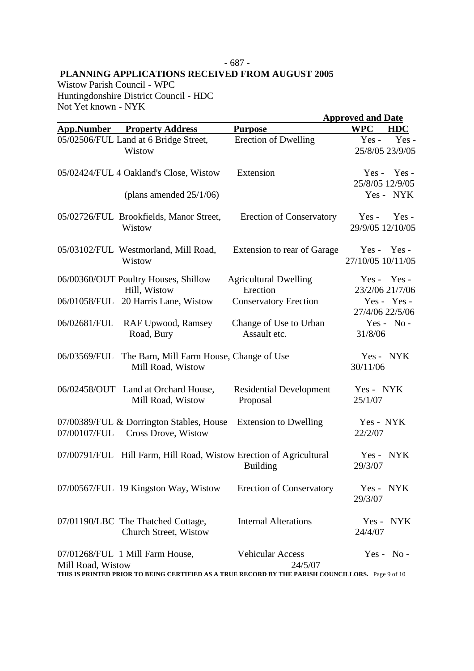#### - 687 - **PLANNING APPLICATIONS RECEIVED FROM AUGUST 2005**

Wistow Parish Council - WPC Huntingdonshire District Council - HDC Not Yet known - NYK

|                   |                                                                    |                                                                                                                                         | <b>Approved and Date</b>           |            |
|-------------------|--------------------------------------------------------------------|-----------------------------------------------------------------------------------------------------------------------------------------|------------------------------------|------------|
| <b>App.Number</b> | <b>Property Address</b>                                            | <b>Purpose</b>                                                                                                                          | <b>WPC</b>                         | <b>HDC</b> |
|                   | 05/02506/FUL Land at 6 Bridge Street,<br>Wistow                    | <b>Erection of Dwelling</b>                                                                                                             | $Yes -$<br>25/8/05 23/9/05         | Yes-       |
|                   | 05/02424/FUL 4 Oakland's Close, Wistow                             | Extension                                                                                                                               | $Yes -$<br>25/8/05 12/9/05         | Yes -      |
|                   | (plans amended $25/1/06$ )                                         |                                                                                                                                         | Yes - NYK                          |            |
|                   | 05/02726/FUL Brookfields, Manor Street,<br>Wistow                  | <b>Erection of Conservatory</b>                                                                                                         | $Yes -$<br>29/9/05 12/10/05        | $Yes -$    |
|                   | 05/03102/FUL Westmorland, Mill Road,<br>Wistow                     | Extension to rear of Garage                                                                                                             | $Yes - Yes -$<br>27/10/05 10/11/05 |            |
|                   | 06/00360/OUT Poultry Houses, Shillow<br>Hill, Wistow               | <b>Agricultural Dwelling</b><br>Erection                                                                                                | $Yes - Yes -$<br>23/2/06 21/7/06   |            |
|                   | 06/01058/FUL 20 Harris Lane, Wistow                                | <b>Conservatory Erection</b>                                                                                                            | Yes - Yes -<br>27/4/06 22/5/06     |            |
| 06/02681/FUL      | RAF Upwood, Ramsey<br>Road, Bury                                   | Change of Use to Urban<br>Assault etc.                                                                                                  | $Yes - No -$<br>31/8/06            |            |
| 06/03569/FUL      | The Barn, Mill Farm House, Change of Use<br>Mill Road, Wistow      |                                                                                                                                         | Yes - NYK<br>30/11/06              |            |
|                   | 06/02458/OUT Land at Orchard House,<br>Mill Road, Wistow           | <b>Residential Development</b><br>Proposal                                                                                              | Yes - NYK<br>25/1/07               |            |
| 07/00107/FUL      | 07/00389/FUL & Dorrington Stables, House<br>Cross Drove, Wistow    | <b>Extension to Dwelling</b>                                                                                                            | Yes - NYK<br>22/2/07               |            |
|                   | 07/00791/FUL Hill Farm, Hill Road, Wistow Erection of Agricultural | <b>Building</b>                                                                                                                         | $Yes -$<br>29/3/07                 | <b>NYK</b> |
|                   | 07/00567/FUL 19 Kingston Way, Wistow                               | <b>Erection of Conservatory</b>                                                                                                         | Yes - NYK<br>29/3/07               |            |
|                   | 07/01190/LBC The Thatched Cottage,<br>Church Street, Wistow        | <b>Internal Alterations</b>                                                                                                             | Yes - NYK<br>24/4/07               |            |
| Mill Road, Wistow | 07/01268/FUL 1 Mill Farm House,                                    | <b>Vehicular Access</b><br>24/5/07<br>THIS IS PRINTED PRIOR TO BEING CERTIFIED AS A TRUE RECORD BY THE PARISH COUNCILLORS. Page 9 of 10 | $Yes - No -$                       |            |